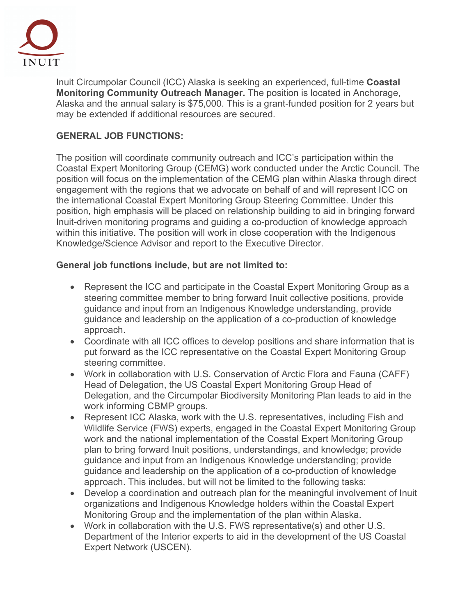

Inuit Circumpolar Council (ICC) Alaska is seeking an experienced, full-time **Coastal Monitoring Community Outreach Manager.** The position is located in Anchorage, Alaska and the annual salary is \$75,000. This is a grant-funded position for 2 years but may be extended if additional resources are secured.

## **GENERAL JOB FUNCTIONS:**

The position will coordinate community outreach and ICC's participation within the Coastal Expert Monitoring Group (CEMG) work conducted under the Arctic Council. The position will focus on the implementation of the CEMG plan within Alaska through direct engagement with the regions that we advocate on behalf of and will represent ICC on the international Coastal Expert Monitoring Group Steering Committee. Under this position, high emphasis will be placed on relationship building to aid in bringing forward Inuit-driven monitoring programs and guiding a co-production of knowledge approach within this initiative. The position will work in close cooperation with the Indigenous Knowledge/Science Advisor and report to the Executive Director.

## **General job functions include, but are not limited to:**

- Represent the ICC and participate in the Coastal Expert Monitoring Group as a steering committee member to bring forward Inuit collective positions, provide guidance and input from an Indigenous Knowledge understanding, provide guidance and leadership on the application of a co-production of knowledge approach.
- Coordinate with all ICC offices to develop positions and share information that is put forward as the ICC representative on the Coastal Expert Monitoring Group steering committee.
- Work in collaboration with U.S. Conservation of Arctic Flora and Fauna (CAFF) Head of Delegation, the US Coastal Expert Monitoring Group Head of Delegation, and the Circumpolar Biodiversity Monitoring Plan leads to aid in the work informing CBMP groups.
- Represent ICC Alaska, work with the U.S. representatives, including Fish and Wildlife Service (FWS) experts, engaged in the Coastal Expert Monitoring Group work and the national implementation of the Coastal Expert Monitoring Group plan to bring forward Inuit positions, understandings, and knowledge; provide guidance and input from an Indigenous Knowledge understanding; provide guidance and leadership on the application of a co-production of knowledge approach. This includes, but will not be limited to the following tasks:
- Develop a coordination and outreach plan for the meaningful involvement of Inuit organizations and Indigenous Knowledge holders within the Coastal Expert Monitoring Group and the implementation of the plan within Alaska.
- Work in collaboration with the U.S. FWS representative(s) and other U.S. Department of the Interior experts to aid in the development of the US Coastal Expert Network (USCEN).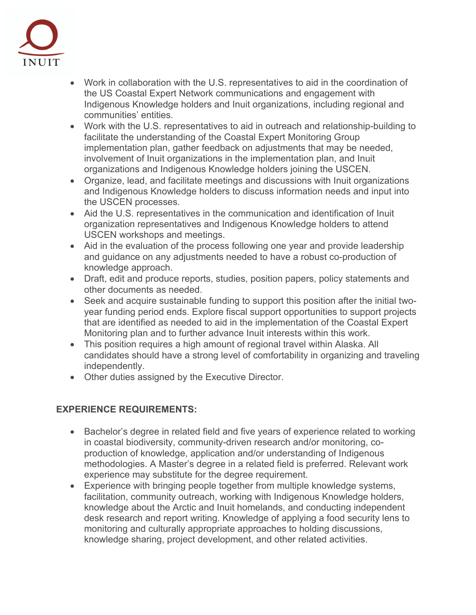

- Work in collaboration with the U.S. representatives to aid in the coordination of the US Coastal Expert Network communications and engagement with Indigenous Knowledge holders and Inuit organizations, including regional and communities' entities.
- Work with the U.S. representatives to aid in outreach and relationship-building to facilitate the understanding of the Coastal Expert Monitoring Group implementation plan, gather feedback on adjustments that may be needed, involvement of Inuit organizations in the implementation plan, and Inuit organizations and Indigenous Knowledge holders joining the USCEN.
- Organize, lead, and facilitate meetings and discussions with Inuit organizations and Indigenous Knowledge holders to discuss information needs and input into the USCEN processes.
- Aid the U.S. representatives in the communication and identification of Inuit organization representatives and Indigenous Knowledge holders to attend USCEN workshops and meetings.
- Aid in the evaluation of the process following one year and provide leadership and guidance on any adjustments needed to have a robust co-production of knowledge approach.
- Draft, edit and produce reports, studies, position papers, policy statements and other documents as needed.
- Seek and acquire sustainable funding to support this position after the initial twoyear funding period ends. Explore fiscal support opportunities to support projects that are identified as needed to aid in the implementation of the Coastal Expert Monitoring plan and to further advance Inuit interests within this work.
- This position requires a high amount of regional travel within Alaska. All candidates should have a strong level of comfortability in organizing and traveling independently.
- Other duties assigned by the Executive Director.

## **EXPERIENCE REQUIREMENTS:**

- Bachelor's degree in related field and five years of experience related to working in coastal biodiversity, community-driven research and/or monitoring, coproduction of knowledge, application and/or understanding of Indigenous methodologies. A Master's degree in a related field is preferred. Relevant work experience may substitute for the degree requirement.
- Experience with bringing people together from multiple knowledge systems, facilitation, community outreach, working with Indigenous Knowledge holders, knowledge about the Arctic and Inuit homelands, and conducting independent desk research and report writing. Knowledge of applying a food security lens to monitoring and culturally appropriate approaches to holding discussions, knowledge sharing, project development, and other related activities.